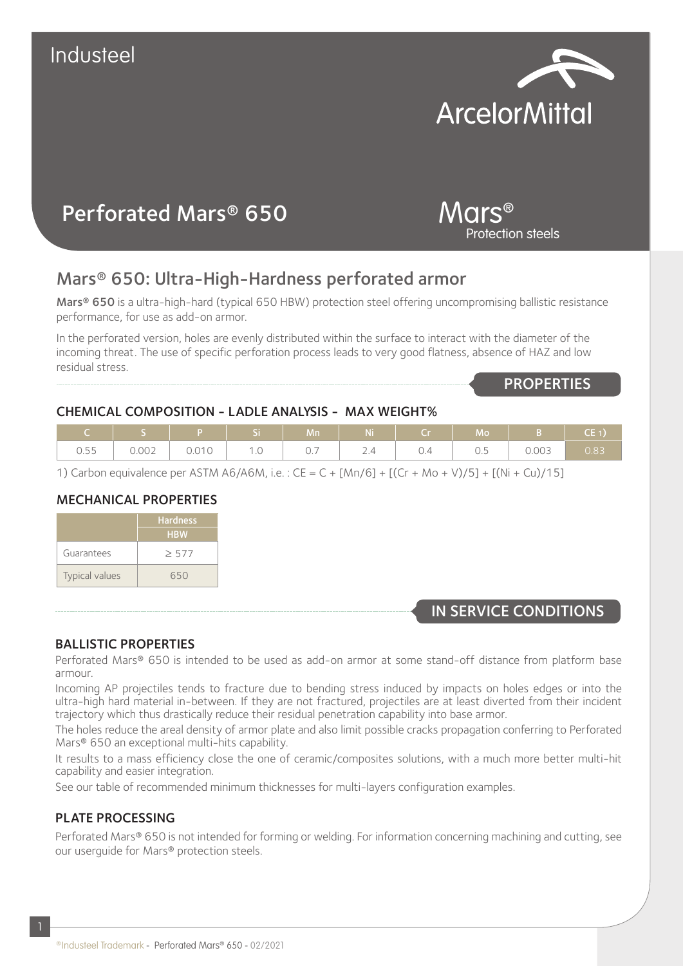# Industeel

## Mars® 650: Ultra-High-Hardness perforated armor

Mars® 650 is a ultra-high-hard (typical 650 HBW) protection steel offering uncompromising ballistic resistance performance, for use as add-on armor.

In the perforated version, holes are evenly distributed within the surface to interact with the diameter of the incoming threat. The use of specific perforation process leads to very good flatness, absence of HAZ and low residual stress.

### CHEMICAL COMPOSITION - LADLE ANALYSIS - MAX WEIGHT%

|                                 |                |                             |                     | Mn                      | N.                     |                                 | Mq                        |       | CE <sub>1</sub> |
|---------------------------------|----------------|-----------------------------|---------------------|-------------------------|------------------------|---------------------------------|---------------------------|-------|-----------------|
| $\cap$ $=$ $=$<br>$-55$<br>U.JJ | 0.002<br>U.UUZ | .101C<br>$\cup$ . $\cup$ iv | $\cdot \cdot \circ$ | -<br>$\cup \cdot \cdot$ | $\sim$ . $\rightarrow$ | $\overline{\phantom{a}}$<br>∪.∼ | $\sim$<br>$\cup$ . $\cup$ | 0.003 | 0.83            |

1) Carbon equivalence per ASTM A6/A6M, i.e. : CE = C + [Mn/6] + [(Cr + Mo + V)/5] + [(Ni + Cu)/15]

### MECHANICAL PROPERTIES

Perforated Mars® 650

|                       | <b>Hardness</b> |
|-----------------------|-----------------|
|                       | <b>HBW</b>      |
| Guarantees            | $\geq 577$      |
| <b>Typical values</b> | 650             |

## IN SERVICE CONDITIONS

#### BALLISTIC PROPERTIES

Perforated Mars® 650 is intended to be used as add-on armor at some stand-off distance from platform base armour.

Incoming AP projectiles tends to fracture due to bending stress induced by impacts on holes edges or into the ultra-high hard material in-between. If they are not fractured, projectiles are at least diverted from their incident trajectory which thus drastically reduce their residual penetration capability into base armor.

The holes reduce the areal density of armor plate and also limit possible cracks propagation conferring to Perforated Mars<sup>®</sup> 650 an exceptional multi-hits capability.

It results to a mass efficiency close the one of ceramic/composites solutions, with a much more better multi-hit capability and easier integration.

See our table of recommended minimum thicknesses for multi-layers configuration examples.

### PLATE PROCESSING

1

Perforated Mars® 650 is not intended for forming or welding. For information concerning machining and cutting, see our userguide for Mars® protection steels.

# **ArcelorMittal**



**PROPERTIES**